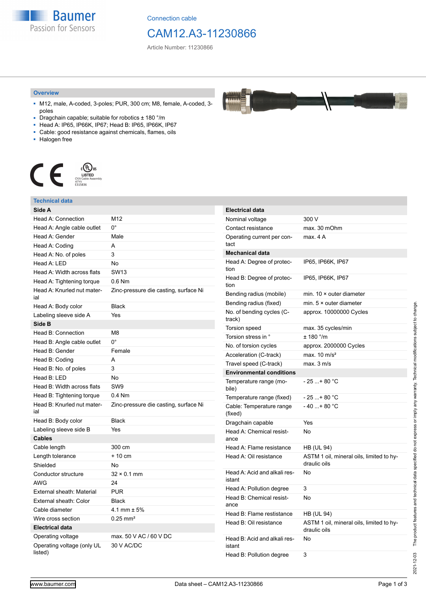**Baumer** Passion for Sensors

Connection cable

# CAM12.A3-11230866

Article Number: 11230866

#### **Overview**

- M12, male, A-coded, 3-poles; PUR, 300 cm; M8, female, A-coded, 3 poles
- Dragchain capable; suitable for robotics ± 180 °/m
- Head A: IP65, IP66K, IP67; Head B: IP65, IP66K, IP67
- Cable: good resistance against chemicals, flames, oils
- Halogen free



### **Technical data**

| Side A                                |                                       |
|---------------------------------------|---------------------------------------|
| <b>Head A: Connection</b>             | M12                                   |
| Head A: Angle cable outlet            | $0^{\circ}$                           |
| Head A: Gender                        | Male                                  |
| Head A: Coding                        | А                                     |
| Head A: No. of poles                  | 3                                     |
| Head A: LED                           | No                                    |
| Head A: Width across flats            | <b>SW13</b>                           |
| Head A: Tightening torque             | $0.6$ Nm                              |
| Head A: Knurled nut mater-<br>ial     | Zinc-pressure die casting, surface Ni |
| Head A: Body color                    | <b>Black</b>                          |
| Labeling sleeve side A                | Yes                                   |
| Side B                                |                                       |
| Head B: Connection                    | M8                                    |
| Head B: Angle cable outlet            | 0°                                    |
| Head B: Gender                        | Female                                |
| Head B: Coding                        | A                                     |
| Head B: No. of poles                  | 3                                     |
| Head B: LED                           | No                                    |
| Head B: Width across flats            | SW <sub>9</sub>                       |
| Head B: Tightening torque             | $0.4$ Nm                              |
| Head B: Knurled nut mater-<br>ial     | Zinc-pressure die casting, surface Ni |
| Head B: Body color                    | <b>Black</b>                          |
| Labeling sleeve side B                | Yes                                   |
| <b>Cables</b>                         |                                       |
| Cable length                          | 300 cm                                |
| Length tolerance                      | + 10 cm                               |
| Shielded                              | No                                    |
| Conductor structure                   | $32 \times 0.1$ mm                    |
| <b>AWG</b>                            | 24                                    |
| External sheath: Material             | <b>PUR</b>                            |
| External sheath: Color                | <b>Black</b>                          |
| Cable diameter                        | 4.1 mm $\pm$ 5%                       |
| Wire cross section                    | $0.25 \text{ mm}^2$                   |
| <b>Electrical data</b>                |                                       |
| Operating voltage                     | max. 50 V AC / 60 V DC                |
| Operating voltage (only UL<br>listed) | 30 V AC/DC                            |

| <b>Electrical data</b>                 |                                                          |
|----------------------------------------|----------------------------------------------------------|
| Nominal voltage                        | 300 V                                                    |
| Contact resistance                     | max. 30 mOhm                                             |
| Operating current per con-<br>tact     | max. 4 A                                                 |
| <b>Mechanical data</b>                 |                                                          |
| Head A: Degree of protec-<br>tion      | IP65, IP66K, IP67                                        |
| Head B: Degree of protec-<br>tion      | IP65, IP66K, IP67                                        |
| Bending radius (mobile)                | min. $10 \times$ outer diameter                          |
| Bending radius (fixed)                 | min. $5 \times$ outer diameter                           |
| No. of bending cycles (C-<br>track)    | approx. 10000000 Cycles                                  |
| <b>Torsion speed</b>                   | max. 35 cycles/min                                       |
| Torsion stress in °                    | $± 180$ °/m                                              |
| No. of torsion cycles                  | approx. 2000000 Cycles                                   |
| Acceleration (C-track)                 | max. $10 \text{ m/s}^2$                                  |
| Travel speed (C-track)                 | max. 3 m/s                                               |
| <b>Environmental conditions</b>        |                                                          |
| Temperature range (mo-<br>bile)        | - 25 + 80 °C                                             |
| Temperature range (fixed)              | - 25 + 80 °C                                             |
| Cable: Temperature range<br>(fixed)    | $-40+80 °C$                                              |
| Dragchain capable                      | Yes                                                      |
| Head A: Chemical resist-<br>ance       | N٥                                                       |
| Head A: Flame resistance               | <b>HB (UL 94)</b>                                        |
| Head A: Oil resistance                 | ASTM 1 oil, mineral oils, limited to hy-<br>draulic oils |
| Head A: Acid and alkali res-<br>istant | No                                                       |
| Head A: Pollution degree               | 3                                                        |
| Head B: Chemical resist-<br>ance       | No                                                       |
| Head B: Flame restistance              | HB (UL 94)                                               |
| Head B: Oil resistance                 | ASTM 1 oil, mineral oils, limited to hy-<br>draulic oils |
| Head B: Acid and alkali res-<br>istant | No                                                       |
| Head B: Pollution degree               | 3                                                        |

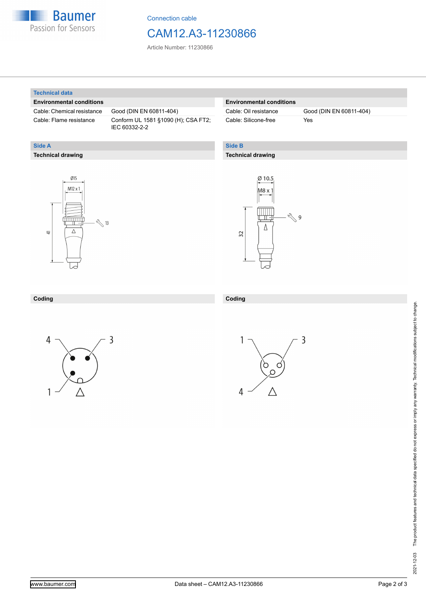

Connection cable

## CAM12.A3-11230866

Article Number: 11230866

#### **Technical data**

**Technical drawing**

**Side A**

#### **Environmental conditions**

Cable: Chemical resistance Good (DIN EN 60811-404)

Cable: Flame resistance Conform UL 1581 §1090 (H); CSA FT2; IEC 60332-2-2

#### **Environmental conditions**

Cable: Silicone-free Yes

Cable: Oil resistance Good (DIN EN 60811-404)

#### **Side B**

#### **Technical drawing**





#### **Coding Coding**